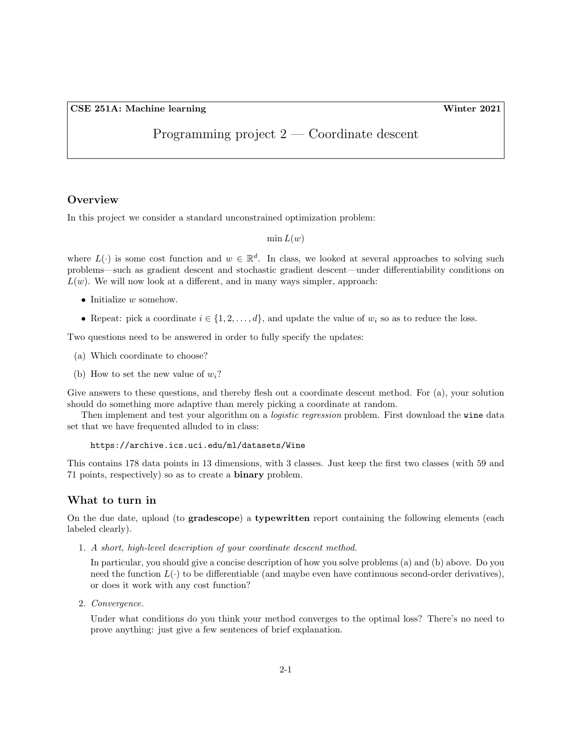CSE 251A: Machine learning Winter 2021

# Programming project 2 — Coordinate descent

## **Overview**

In this project we consider a standard unconstrained optimization problem:

 $\min L(w)$ 

where  $L(\cdot)$  is some cost function and  $w \in \mathbb{R}^d$ . In class, we looked at several approaches to solving such problems—such as gradient descent and stochastic gradient descent—under differentiability conditions on  $L(w)$ . We will now look at a different, and in many ways simpler, approach:

- $\bullet$  Initialize w somehow.
- Repeat: pick a coordinate  $i \in \{1, 2, \ldots, d\}$ , and update the value of  $w_i$  so as to reduce the loss.

Two questions need to be answered in order to fully specify the updates:

- (a) Which coordinate to choose?
- (b) How to set the new value of  $w_i$ ?

Give answers to these questions, and thereby flesh out a coordinate descent method. For (a), your solution should do something more adaptive than merely picking a coordinate at random.

Then implement and test your algorithm on a *logistic regression* problem. First download the wine data set that we have frequented alluded to in class:

## https://archive.ics.uci.edu/ml/datasets/Wine

This contains 178 data points in 13 dimensions, with 3 classes. Just keep the first two classes (with 59 and 71 points, respectively) so as to create a binary problem.

#### What to turn in

On the due date, upload (to gradescope) a typewritten report containing the following elements (each labeled clearly).

1. A short, high-level description of your coordinate descent method.

In particular, you should give a concise description of how you solve problems (a) and (b) above. Do you need the function  $L(\cdot)$  to be differentiable (and maybe even have continuous second-order derivatives), or does it work with any cost function?

2. Convergence.

Under what conditions do you think your method converges to the optimal loss? There's no need to prove anything: just give a few sentences of brief explanation.